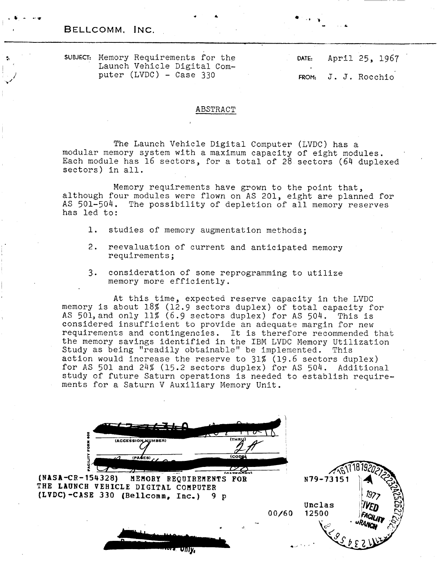, BELLCOMM, INC.

\* & , **b** - *-.w* 

SUBJECT: Memory Requirements for the Launch Vehicle Digital Compater (LVDC) - Case 330

**DATE:** April 25, 1967

FROM: **J. J.** Rocchio

### ABSTRACT

The Launch Vehicle Digital Computer (LVDC) has a modular memory system with a maximum capacity of eight modules. Each module has 16 sectors, for a total of 28 sectors (64 duplexed sectors) in all.

Memcry requirements have grown to the point that, although four modules were flown on AS 201, eight are planned for AS 501-504. The possibility of depletion of all memory reserves has led to:

- **1.** studies of memory augmentation methods;
- 2. reevaluation of current and anticipated memory requirements;
- **3.** consideration of some reprogramming to utilize memory more efficiently.

At this time, expected reserve capacity in the LVDC memory is about 18% *(12.9* sectors duplex) of total capacity for AS 501,and only 11% (6.9 sectors duplex) for AS 504. This is considered insufficient to provide an adequate margin for new requirements and contingencies. **It** is therefore recommended that the memory savings identified in the IBM LVDC Memory Utilization Study as being "readily obtainable" be implemented. This action would increase the reserve *to* 31% (19.6 sectors duplex) for AS 501 and 24% (15.2 sectors duplex) for AS 504. Additional study of future Saturn operations is needed to establish requirements for a Saturn V Auxiliary Memory Unit.

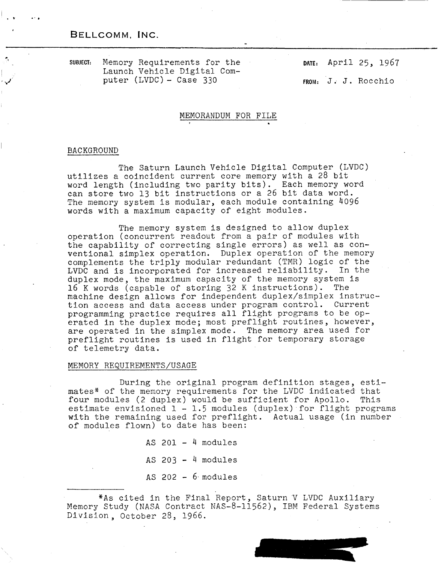## BELLCOMM, INC.

*-8* -. .

**4 SUBJECT:** Memory Requirements for the Launch Vehicle Digital Com-<br>puter (LVDC) - Case 330 **DATE:** April 25, 1967

**FROM:** J. J. Rocchio

## MEMORANDUM FOR FILE

### BACKGROUND

The Saturn Launch Vehicle Digital Computer (LVDC) utilizes a coincident current core memory with a 28 bit word length (including two parity bits). Each memory word can store two 13 bit instructions or a 26 bit data word. The memory system is modular, each module containing 4096 words with a maximum capacity of eight modules.

The memory system is designed to allow duplex operation (concurrent readout from a pair of modules with the capability of correcting single errors) as well as conventional simplex operation. Duplex operation of the memory complements the triply modular redundant (TMR) logic of the LVDC and is incorporated for increased reliability. In the duplex mode, the maximum capacity of the memory system is 16 K words (capable of storing *32* K instructions). The machine design allows for independent duplex/simplex instruction access and data access under program control. Current programming practice requires all flight programs to be operated in the duplex mode; most preflight routines, however, are operated in the simplex mode. The memory area used for preflight routines is used in flight for temporary storage of telemetry data.

## MEMORY REQUIREMENTS/USAGE

During the original program definition stages, estimates\* of the memory requirements for the LVDC indicated that four modules (2 duplex) would be sufficient for Apollo. This estimate envisioned  $1 - 1.5$  modules (duplex) for flight programs with the remaining used for preflight. Actual usage (in number of modules flown) to date has been:

> AS  $201 - 4$  modules AS  $203 - 4$  modules AS  $202 - 6$  modules

%As cited in the Final Report, Saturn Y LVDC Auxiliary Memory Study (NASA Contract NAS-8-11562), IBM Federal Systems Division, October 28, 1966.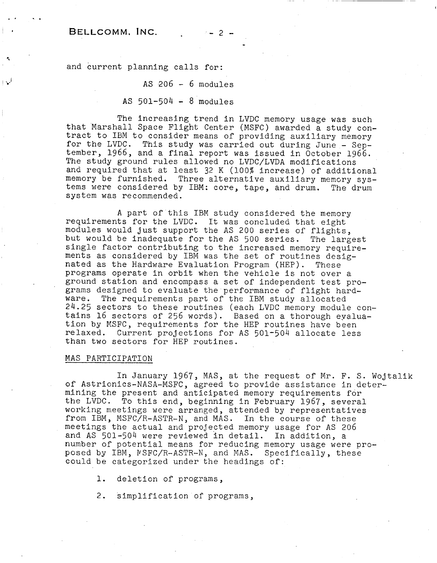## BELLCOMM. INC.  $-2-$

.. ..

-

and current planning calls for:

## $AS$   $206 - 6$  modules

## AS  $501 - 504 - 8$  modules

The increasing trend in LVDC memory usage was such that Marshall Space Flight Center (MSFC) awarded a study contract to IBM to consider means of providing auxiliary memory for the LVDC. This study was carried out during June - September, 1966, and a final report was issued in October 1966. The study ground rules allowed no LVDC/LVDA modifications and required that at least 32 K (100% increase) of additional memory be furnished. Three alternative auxiliary memory systems were considered by IBM: core, tape, and drum. The drum system was recommended.

A part of this IBM study considered the memory requirements for the LVDC. It was concluded that eight modules would just support the AS 200 series of flights, but would be inadequate for the AS 500 series. The largest single factor contributing to the increased memory requirements as considered by IBM was the set of routines designated as the Hardware Evaluation Program (HEP). These programs operate in orbit when the vehicle is not over a ground station and encompass a set of independent test programs designed to evaluate the performance of flight hardware. The requirements part of the IBM study allocated 24.25 sectors to these routines (each LVDC memory module contains 16 sectors of 256 words). Based on a thorough evaluation by MSFC, requirements for the HEP routines have been relaxed. Current projections for AS 501-504 allocate less than two sectors for HEP routines.

### MAS PARTICIPATION

In January 1967, MAS, at the request of Mr. F. S. Wojtalik of Astrionics-NASA-MSFC, agreed to provide assistance in determining the present and anticipated memory requirements for the LVDC. To this end, beginning in February 1967, several working meetings were arranged, attended by representatives from IBM, MSFC/R-ASTR-N, and MAS. In the course of these meetings the actual and projected memory usage for AS 206 and AS 501-504 were reviewed in detail. In addition, a number of potential means for reducing memory usage were proposed by IBM, PSFC/R-ASTR-N, and MAS. Specifically, these could be categorized under the headings of:

1. deletion of programs,

2. simplification of programs,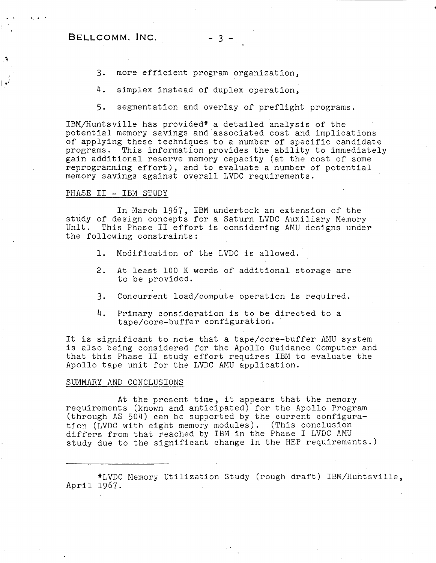## $BELLCOMM. INC. -3 -$

- 3. more efficient program organization,<br>4. simplex instead of duplex operation.
- simplex instead of duplex operation,
- 5. segmentation and overlay of preflight programs.

IBM/Huntsville has provided\* a detailed analysis of the potential memory savings and associated cost and implications of applying these techniques to a number of specific candidate programs. This information provides the ability to immediately gain additional reserve memory capacity (at the cost of some reprogramming effort), and to evaluate a number of' potential memory savings against overall LVDC requirements.

#### PHASE II - IBM STUDY

In March 1967, IBM undertook an extension of the study of design concepts for a Saturn LVDC Auxiliary Memory Unit. This Phase I1 effort is considering AMU designs under the following constraints :

- 1. Modification of the LVDC is allowed.
- 2. At least 100 K words of additional storage are to be provided.
- 3. Concurrent load/compute operation is required.
- 4. Primary consideration is to be directed to a tape/core-buffer configuration. '

It is significant to note that a tape/core-buffer AMU system is also being considered for the Apollo Guidance Computer and that this Fhase I1 study effort requires IBM to evaluate the Apollo tape unit for the LVDC AMU application.

### SUMMARY AND CONCLUSIONS

At the present time, it appears that the memory requirements (known and anticipated) for the Apollo Program (through AS 504) can be supported by the current configuration (LVDC with eight memory modules). (This conclusion differs from that reached by IBM in the Phase I LVDC AMU study due to the significant change in the HEP requirements.)

\*LVDC Memory Utilization Study (rough draft) IBN/Huntsville, April 1967.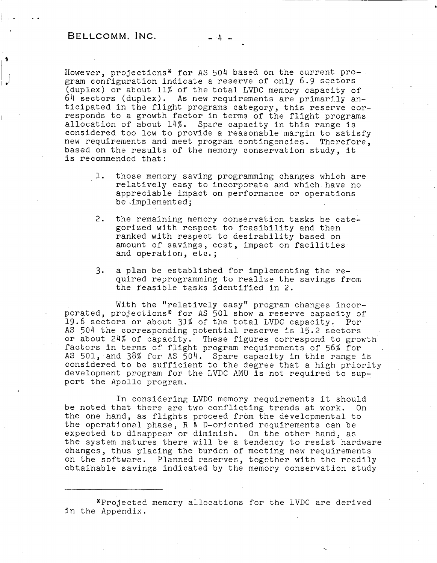However, projections\* for AS 504 based on the current program configuration indicate a reserve of only 6.9 sectors (duplex) or about 11% of the total LVDC memory capacity of 64 sectors (duplex). As new requirements are primarily anticipated in the flight programs category, this reserve corresponds to a growth factor in terms of the flight programs allocation of about 14%. Spare capacity in this range is considered too low to provide a reasonable margin to satisfy new requirements and meet program contingencies. Therefore, based on the results of the memory conservation study, it is recommended that:

- 1. those memory saving programming changes which are relatively easy to incorporate and which have no appreciable impact on performance or operations be .implemented;
- 2. the remaining memory conservation tasks be categorized with respect to feasibility and then ranked with respect to desirability based on amount of savings, cost, impact on facilities and operation, etc. ;
- 3. a plan be established for implementing the required reprogramming to realize the savings from the feasible tasks identified in 2.

With the "relatively easy" program changes incor-. porated, projections\* for AS 501 show a reserve capacity of 19.6 sectors or about 31% of the total LVDC capacity. For AS 504 the corresponding potential reserve is 15.2 sectors or about 24% of capacity. These figures correspond to growth factors in terms of flight program requirements of 56% for AS 501, and 38% for AS 504. Spare capacity in this range is considered to be sufficient to the degree that a high priority development program for the LVDC AMU is not required to support the Apollo program.

In considering LVDC memory requirements it should be noted that there are two conflicting trends at work. On the one hand, as flights proceed from the developmental to the operational phase, R & D-oriented requirements can be expected to disappear or diminish. On the other hand, as the system matures there will be a tendency to resist hardware changes, thus placing the burden cf meeting new requirements on the software. Planned reserves, together with the readily obtainable savings indicated by the memory conservation study

\*Projected memory allocations for the LVDC are derived in the Appendix.

.

*b*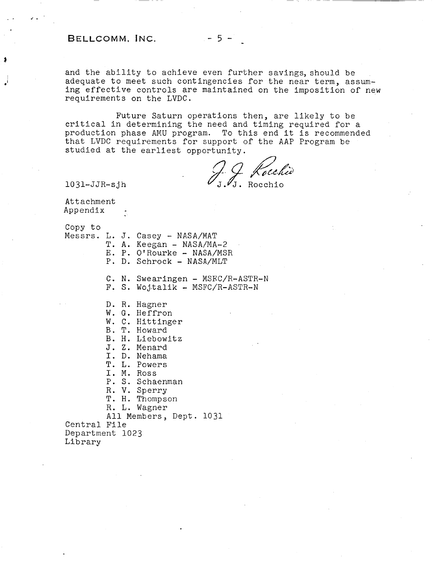# **BELLCOMM.** INC. -5-

**a** 

.'

and the ability to achieve even further savings, should be adequate to meet such contingencies for the near term, assuming effective controls are maintained on the imposition of new requirements on the LVDC.

Future Saturn operations then, are likely to be critical in determining the need and timing required for a production phase AMU program. To this end it is recommended that LVDC requirements for support of the AAP Program be studied at the earliest opportunity.

J.J. Koechio

10 **31-** J JR- s j h

Attachment Appendix

copy to

- Messrs. L. J. Casey NASA/MAT
	- T. **A.** Keegan NASA/MA-2
	- E. P. O'Rourke NASA/MSR
	- P. D. Schrock NASA/MLT

C. **N.** Swearingen - MSRC/R-ASTR-N

- F. S. Wojtalik MSFC/R-ASTR-N
- D. R. Hagner
- W. G. Heffron
- W. C. Hittinger
- B. T. Howard
- B. H. Liebowitz
- J. Z. Menard
- I. D. Nehama
- T. L. Powers
- I. M. Ross
- P. S. Schaenman
- R. V. Sperry
- T. H. Thompson
- R. L. Wagner

All Members, Dept. 1031

Central File Department 1023 Library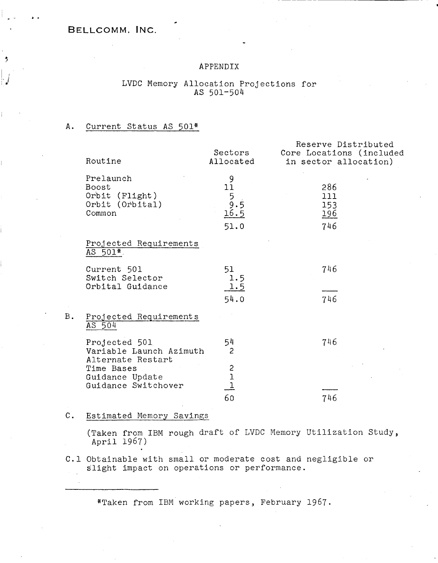## BELLCOMM. INC.

*L.* 

÷

## APPENDIX

## LVDC Memory Allocation Projections for AS 501-504

#### A. Current Status AS 501\*

| Routine                                                           | Sectors<br>Allocated                                   | Reserve Distributed<br>Core Locations (included<br>in sector allocation) |
|-------------------------------------------------------------------|--------------------------------------------------------|--------------------------------------------------------------------------|
| Prelaunch<br>Boost<br>Orbit (Flight)<br>Orbit (Orbital)<br>Common | 9<br>11<br>$\frac{1}{5}$<br>9.5<br><u>16.5</u><br>51.0 | 286<br>111<br>153<br><u> 196</u><br>746                                  |
| Projected Requirements<br>AS 501*                                 |                                                        |                                                                          |
| Current 501<br>Switch Selector<br>Orbital Guidance                | 51<br>1.5<br>1.5                                       | 746                                                                      |
|                                                                   | 54.0                                                   | 746                                                                      |
| Projected Requirements<br>AS 504                                  |                                                        |                                                                          |
| Projected 501<br>Variable Launch Azimuth<br>Alternate Restart     | 54<br>$\overline{c}$                                   | 746                                                                      |
| Time Bases<br>Guidance Update<br>Guidance Switchover              | $\begin{array}{c} 2 \\ 1 \\ 1 \end{array}$             |                                                                          |
|                                                                   | 60                                                     | 746                                                                      |

#### **C.**  Estimated Memory Savings

B.

(Taken from IBM rough draft of LVDC Memory Utilization Study, April 1967)

C.l Obtainable with small or moderate cost and negligible **or**  slight impact on operations or performance.

\*Taken from IBM working papers, February 1967.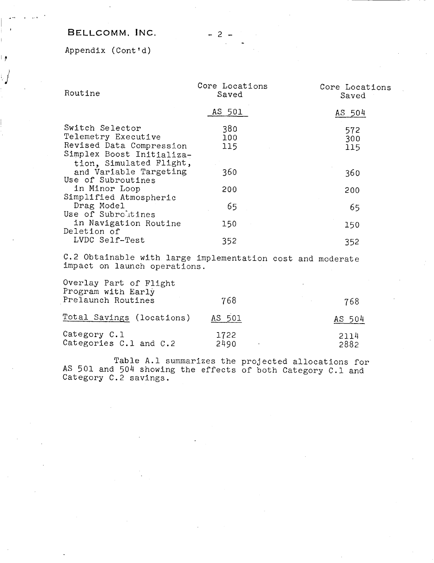# **BELLCOMM.** INC.

Appendix (Cont 'd)

∣∲

| Routine                                                                                                                    | Core Locations<br>Saved | Core Locations<br>Saved |
|----------------------------------------------------------------------------------------------------------------------------|-------------------------|-------------------------|
|                                                                                                                            | AS 501                  | AS 504                  |
| Switch Selector<br>Telemetry Executive<br>Revised Data Compression<br>Simplex Boost Initializa-<br>tion, Simulated Flight, | 380<br>100<br>115       | 572<br>300<br>115       |
| and Variable Targeting<br>Use of Subroutines                                                                               | 360                     | 360                     |
| in Minor Loop<br>Simplified Atmospheric                                                                                    | 200                     | 200                     |
| Drag Model<br>Use of Subroutines                                                                                           | 65                      | 65                      |
| in Navigation Routine<br>Deletion of                                                                                       | 150                     | 150                     |
| LVDC Self-Test                                                                                                             | 352                     | 352                     |

C.2 Obtainable with large implementation cost and moderate impact on launch operations.

| Overlay Part of Flight<br>Program with Early<br>Prelaunch Routines | 768          | 768          |
|--------------------------------------------------------------------|--------------|--------------|
| Total Savings (locations)                                          | AS 501       | AS 504       |
| Category C.1<br>Categories C.1 and C.2                             | 1722<br>2490 | 2114<br>2882 |

Table A.l summarizes the projected allocations for AS 501 and 504 showing the effects of both Category C.l and Category C.2 savings.

-2-

-